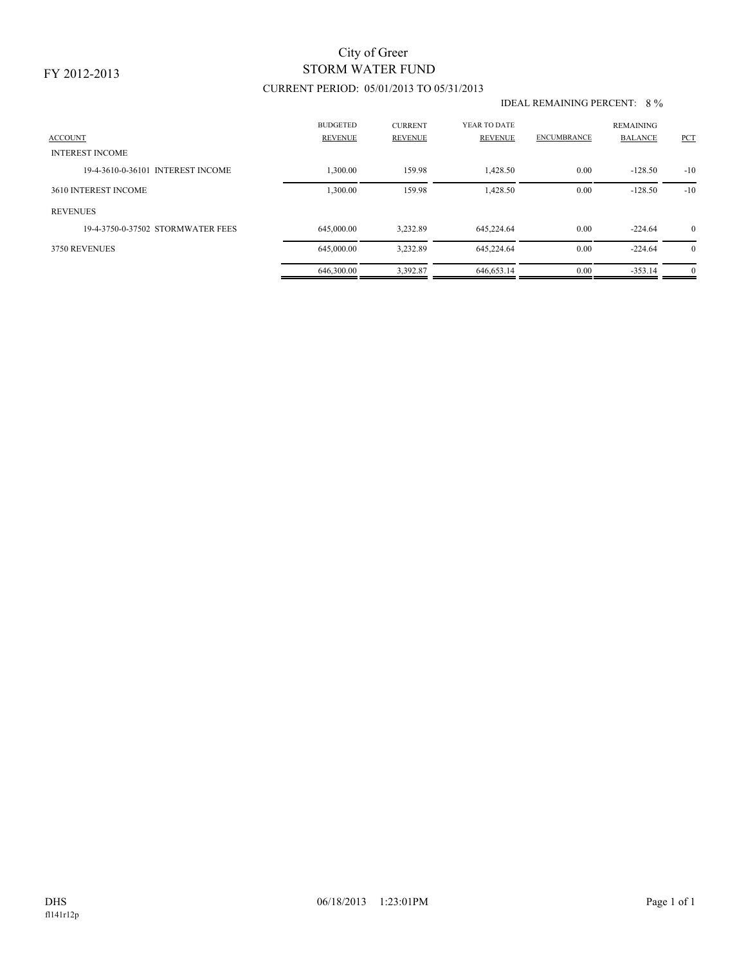# STORM WATER FUND City of Greer

## CURRENT PERIOD: 05/01/2013 TO 05/31/2013

#### IDEAL REMAINING PERCENT: 8 %

| <b>ACCOUNT</b><br><b>INTEREST INCOME</b> | <b>BUDGETED</b><br><b>REVENUE</b> | <b>CURRENT</b><br><b>REVENUE</b> | YEAR TO DATE<br><b>REVENUE</b> | <b>ENCUMBRANCE</b> | <b>REMAINING</b><br><b>BALANCE</b> | PCT            |
|------------------------------------------|-----------------------------------|----------------------------------|--------------------------------|--------------------|------------------------------------|----------------|
| 19-4-3610-0-36101 INTEREST INCOME        | 1,300.00                          | 159.98                           | 1,428.50                       | 0.00               | $-128.50$                          | $-10$          |
| 3610 INTEREST INCOME                     | 1,300.00                          | 159.98                           | 1,428.50                       | 0.00               | $-128.50$                          | $-10$          |
| <b>REVENUES</b>                          |                                   |                                  |                                |                    |                                    |                |
| 19-4-3750-0-37502 STORMWATER FEES        | 645,000.00                        | 3.232.89                         | 645.224.64                     | 0.00               | $-224.64$                          | $\overline{0}$ |
| 3750 REVENUES                            | 645,000.00                        | 3.232.89                         | 645.224.64                     | 0.00               | $-224.64$                          | $\overline{0}$ |
|                                          | 646,300.00                        | 3.392.87                         | 646,653.14                     | 0.00               | $-353.14$                          | $\overline{0}$ |